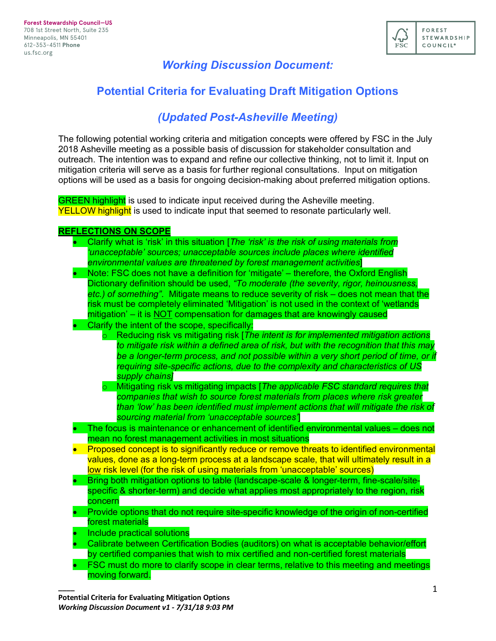

## *Working Discussion Document:*

# **Potential Criteria for Evaluating Draft Mitigation Options**

# *(Updated Post-Asheville Meeting)*

The following potential working criteria and mitigation concepts were offered by FSC in the July 2018 Asheville meeting as a possible basis of discussion for stakeholder consultation and outreach. The intention was to expand and refine our collective thinking, not to limit it. Input on mitigation criteria will serve as a basis for further regional consultations. Input on mitigation options will be used as a basis for ongoing decision-making about preferred mitigation options.

**GREEN highlight** is used to indicate input received during the Asheville meeting. **YELLOW highlight** is used to indicate input that seemed to resonate particularly well.

### **REFLECTIONS ON SCOPE**

- Clarify what is 'risk' in this situation [*The 'risk' is the risk of using materials from 'unacceptable' sources; unacceptable sources include places where identified environmental values are threatened by forest management activities*]
- Note: FSC does not have a definition for 'mitigate' therefore, the Oxford English Dictionary definition should be used, *"To moderate (the severity, rigor, heinousness, etc.) of something"*. Mitigate means to reduce severity of risk – does not mean that the risk must be completely eliminated 'Mitigation' is not used in the context of 'wetlands mitigation' – it is NOT compensation for damages that are knowingly caused
- Clarify the intent of the scope, specifically:
	- o Reducing risk vs mitigating risk [*The intent is for implemented mitigation actions to mitigate risk within a defined area of risk, but with the recognition that this may be a longer-term process, and not possible within a very short period of time, or if requiring site-specific actions, due to the complexity and characteristics of US supply chains]*
	- o Mitigating risk vs mitigating impacts [*The applicable FSC standard requires that companies that wish to source forest materials from places where risk greater than 'low' has been identified must implement actions that will mitigate the risk of sourcing material from 'unacceptable sources'*]
- The focus is maintenance or enhancement of identified environmental values does not mean no forest management activities in most situations
- Proposed concept is to significantly reduce or remove threats to identified environmental values, done as a long-term process at a landscape scale, that will ultimately result in a low risk level (for the risk of using materials from 'unacceptable' sources)
- Bring both mitigation options to table (landscape-scale & longer-term, fine-scale/sitespecific & shorter-term) and decide what applies most appropriately to the region, risk concern
- Provide options that do not require site-specific knowledge of the origin of non-certified forest materials
- Include practical solutions

- Calibrate between Certification Bodies (auditors) on what is acceptable behavior/effort by certified companies that wish to mix certified and non-certified forest materials
- FSC must do more to clarify scope in clear terms, relative to this meeting and meetings moving forward.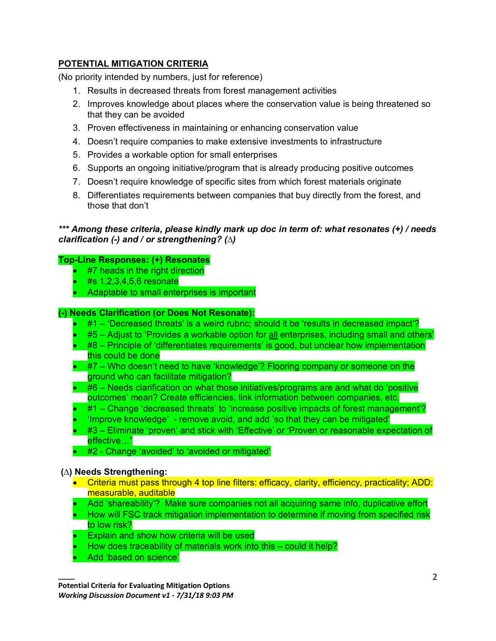## **POTENTIAL MITIGATION CRITERIA**

(No priority intended by numbers, just for reference)

- 1. Results in decreased threats from forest management activities
- 2. Improves knowledge about places where the conservation value is being threatened so that they can be avoided
- 3. Proven effectiveness in maintaining or enhancing conservation value
- 4. Doesn't require companies to make extensive investments to infrastructure
- 5. Provides a workable option for small enterprises
- 6. Supports an ongoing initiative/program that is already producing positive outcomes
- 7. Doesn't require knowledge of specific sites from which forest materials originate
- 8. Differentiates requirements between companies that buy directly from the forest, and those that don't

### *\*\*\* Among these criteria, please kindly mark up doc in term of: what resonates (+) / needs clarification (-) and / or strengthening? (∆)*

### **Top-Line Responses: (+) Resonates**

- #7 heads in the right direction
- #s 1,2,3,4,5,6 resonate
- Adaptable to small enterprises is important

#### **(-) Needs Clarification (or Does Not Resonate):**

- #1 'Decreased threats' is a weird rubric; should it be 'results in decreased impact'?
- #5 Adjust to 'Provides a workable option for all enterprises, including small and others'
- #8 Principle of 'differentiates requirements' is good, but unclear how implementation this could be done
- #7 Who doesn't need to have 'knowledge'? Flooring company or someone on the ground who can facilitate mitigation?
- #6 Needs clarification on what those initiatives/programs are and what do 'positive outcomes' mean? Create efficiencies, link information between companies, etc.
- #1 Change 'decreased threats' to 'increase positive impacts of forest management'?
- 'Improve knowledge' remove avoid, and add 'so that they can be mitigated'
- #3 Eliminate 'proven' and stick with 'Effective' or 'Proven or reasonable expectation of effective…"
- #2 Change 'avoided' to 'avoided or mitigated'

#### **(∆) Needs Strengthening:**

- Criteria must pass through 4 top line filters: efficacy, clarity, efficiency, practicality; ADD: measurable, auditable
- Add 'shareability'? Make sure companies not all acquiring same info, duplicative effort
- How will FSC track mitigation implementation to determine if moving from specified risk to low risk?
- Explain and show how criteria will be used
- How does traceability of materials work into this could it help?
- Add 'based on science'

**\_\_\_\_**

**Potential Criteria for Evaluating Mitigation Options** *Working Discussion Document v1 - 7/31/18 9:03 PM*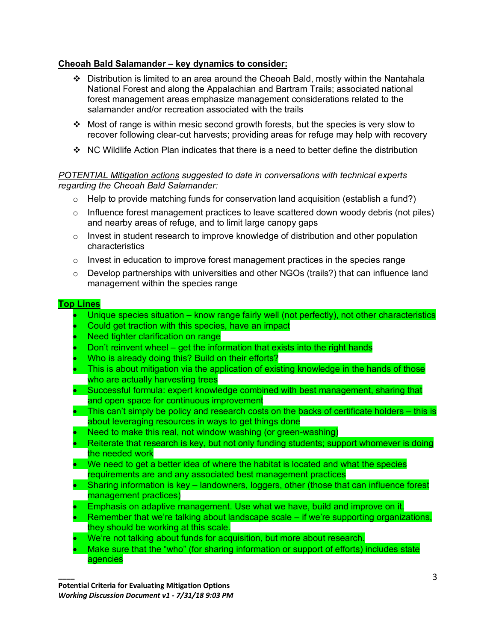## **Cheoah Bald Salamander – key dynamics to consider:**

- $\div$  Distribution is limited to an area around the Cheoah Bald, mostly within the Nantahala National Forest and along the Appalachian and Bartram Trails; associated national forest management areas emphasize management considerations related to the salamander and/or recreation associated with the trails
- $\cdot$  Most of range is within mesic second growth forests, but the species is very slow to recover following clear-cut harvests; providing areas for refuge may help with recovery
- $\cdot$  NC Wildlife Action Plan indicates that there is a need to better define the distribution

## *POTENTIAL Mitigation actions suggested to date in conversations with technical experts regarding the Cheoah Bald Salamander:*

- $\circ$  Help to provide matching funds for conservation land acquisition (establish a fund?)
- $\circ$  Influence forest management practices to leave scattered down woody debris (not piles) and nearby areas of refuge, and to limit large canopy gaps
- o Invest in student research to improve knowledge of distribution and other population characteristics
- $\circ$  Invest in education to improve forest management practices in the species range
- o Develop partnerships with universities and other NGOs (trails?) that can influence land management within the species range

### **Top Lines**

- Unique species situation know range fairly well (not perfectly), not other characteristics
- Could get traction with this species, have an impact
- Need tighter clarification on range
- Don't reinvent wheel  $-$  get the information that exists into the right hands
- Who is already doing this? Build on their efforts?
- This is about mitigation via the application of existing knowledge in the hands of those who are actually harvesting trees
- Successful formula: expert knowledge combined with best management, sharing that and open space for continuous improvement
- This can't simply be policy and research costs on the backs of certificate holders this is about leveraging resources in ways to get things done
- Need to make this real, not window washing (or green-washing)
- Reiterate that research is key, but not only funding students; support whomever is doing the needed work
- We need to get a better idea of where the habitat is located and what the species requirements are and any associated best management practices
- Sharing information is key landowners, loggers, other (those that can influence forest management practices)
- Emphasis on adaptive management. Use what we have, build and improve on it.
- Remember that we're talking about landscape scale if we're supporting organizations, they should be working at this scale.
- We're not talking about funds for acquisition, but more about research.
- Make sure that the "who" (for sharing information or support of efforts) includes state agencies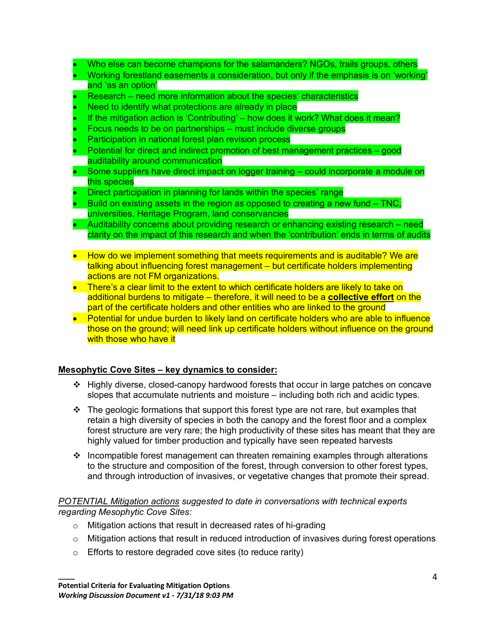- Who else can become champions for the salamanders? NGOs, trails groups, others
- Working forestland easements a consideration, but only if the emphasis is on 'working' and 'as an option'
- Research need more information about the species' characteristics
- Need to identify what protections are already in place
- If the mitigation action is 'Contributing' how does it work? What does it mean?
- Focus needs to be on partnerships must include diverse groups
- Participation in national forest plan revision process
- Potential for direct and indirect promotion of best management practices good auditability around communication
- Some suppliers have direct impact on logger training could incorporate a module on this species
- Direct participation in planning for lands within the species' range
- Build on existing assets in the region as opposed to creating a new fund TNC, universities, Heritage Program, land conservancies
- Auditability concerns about providing research or enhancing existing research need clarity on the impact of this research and when the 'contribution' ends in terms of audits
- How do we implement something that meets requirements and is auditable? We are talking about influencing forest management – but certificate holders implementing actions are not FM organizations.
- There's a clear limit to the extent to which certificate holders are likely to take on additional burdens to mitigate – therefore, it will need to be a **collective effort** on the part of the certificate holders and other entities who are linked to the ground
- Potential for undue burden to likely land on certificate holders who are able to influence those on the ground; will need link up certificate holders without influence on the ground with those who have it

## **Mesophytic Cove Sites – key dynamics to consider:**

- $\div$  Highly diverse, closed-canopy hardwood forests that occur in large patches on concave slopes that accumulate nutrients and moisture – including both rich and acidic types.
- $\cdot \cdot$  The geologic formations that support this forest type are not rare, but examples that retain a high diversity of species in both the canopy and the forest floor and a complex forest structure are very rare; the high productivity of these sites has meant that they are highly valued for timber production and typically have seen repeated harvests
- $\cdot$  Incompatible forest management can threaten remaining examples through alterations to the structure and composition of the forest, through conversion to other forest types, and through introduction of invasives, or vegetative changes that promote their spread.

### *POTENTIAL Mitigation actions suggested to date in conversations with technical experts regarding Mesophytic Cove Sites:*

- o Mitigation actions that result in decreased rates of hi-grading
- $\circ$  Mitigation actions that result in reduced introduction of invasives during forest operations
- o Efforts to restore degraded cove sites (to reduce rarity)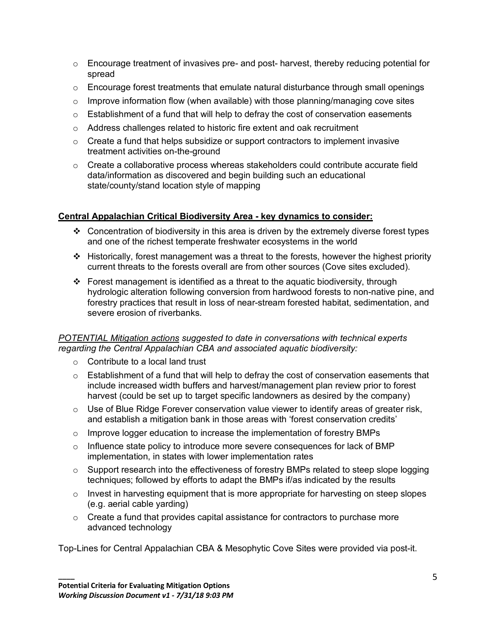- $\circ$  Encourage treatment of invasives pre- and post- harvest, thereby reducing potential for spread
- $\circ$  Encourage forest treatments that emulate natural disturbance through small openings
- $\circ$  Improve information flow (when available) with those planning/managing cove sites
- $\circ$  Establishment of a fund that will help to defray the cost of conservation easements
- $\circ$  Address challenges related to historic fire extent and oak recruitment
- $\circ$  Create a fund that helps subsidize or support contractors to implement invasive treatment activities on-the-ground
- $\circ$  Create a collaborative process whereas stakeholders could contribute accurate field data/information as discovered and begin building such an educational state/county/stand location style of mapping

## **Central Appalachian Critical Biodiversity Area - key dynamics to consider:**

- $\cdot$  Concentration of biodiversity in this area is driven by the extremely diverse forest types and one of the richest temperate freshwater ecosystems in the world
- $\div$  Historically, forest management was a threat to the forests, however the highest priority current threats to the forests overall are from other sources (Cove sites excluded).
- Forest management is identified as a threat to the aquatic biodiversity, through hydrologic alteration following conversion from hardwood forests to non-native pine, and forestry practices that result in loss of near-stream forested habitat, sedimentation, and severe erosion of riverbanks.

## *POTENTIAL Mitigation actions suggested to date in conversations with technical experts regarding the Central Appalachian CBA and associated aquatic biodiversity:*

- o Contribute to a local land trust
- $\circ$  Establishment of a fund that will help to defray the cost of conservation easements that include increased width buffers and harvest/management plan review prior to forest harvest (could be set up to target specific landowners as desired by the company)
- o Use of Blue Ridge Forever conservation value viewer to identify areas of greater risk, and establish a mitigation bank in those areas with 'forest conservation credits'
- $\circ$  Improve logger education to increase the implementation of forestry BMPs
- o Influence state policy to introduce more severe consequences for lack of BMP implementation, in states with lower implementation rates
- $\circ$  Support research into the effectiveness of forestry BMPs related to steep slope logging techniques; followed by efforts to adapt the BMPs if/as indicated by the results
- o Invest in harvesting equipment that is more appropriate for harvesting on steep slopes (e.g. aerial cable yarding)
- $\circ$  Create a fund that provides capital assistance for contractors to purchase more advanced technology

Top-Lines for Central Appalachian CBA & Mesophytic Cove Sites were provided via post-it.